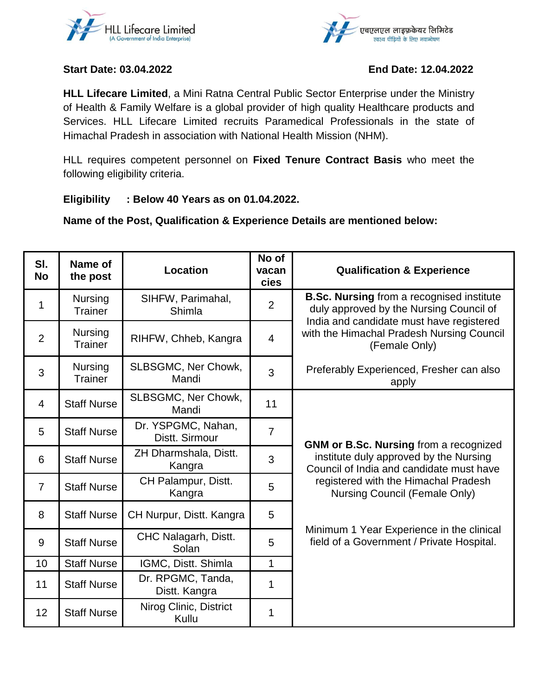



## **Start Date: 03.04.2022 End Date: 12.04.2022**

**HLL Lifecare Limited**, a Mini Ratna Central Public Sector Enterprise under the Ministry of Health & Family Welfare is a global provider of high quality Healthcare products and Services. HLL Lifecare Limited recruits Paramedical Professionals in the state of Himachal Pradesh in association with National Health Mission (NHM).

HLL requires competent personnel on **Fixed Tenure Contract Basis** who meet the following eligibility criteria.

## **Eligibility : Below 40 Years as on 01.04.2022.**

**Name of the Post, Qualification & Experience Details are mentioned below:**

| SI.<br><b>No</b> | Name of<br>the post              | <b>Location</b>                      | No of<br>vacan<br>cies | <b>Qualification &amp; Experience</b>                                                                                                                                                                 |
|------------------|----------------------------------|--------------------------------------|------------------------|-------------------------------------------------------------------------------------------------------------------------------------------------------------------------------------------------------|
| 1                | <b>Nursing</b><br><b>Trainer</b> | SIHFW, Parimahal,<br>Shimla          | $\overline{2}$         | <b>B.Sc. Nursing from a recognised institute</b><br>duly approved by the Nursing Council of<br>India and candidate must have registered<br>with the Himachal Pradesh Nursing Council<br>(Female Only) |
| $\overline{2}$   | <b>Nursing</b><br>Trainer        | RIHFW, Chheb, Kangra                 | $\overline{4}$         |                                                                                                                                                                                                       |
| 3                | Nursing<br>Trainer               | SLBSGMC, Ner Chowk,<br>Mandi         | 3                      | Preferably Experienced, Fresher can also<br>apply                                                                                                                                                     |
| 4                | <b>Staff Nurse</b>               | SLBSGMC, Ner Chowk,<br>Mandi         | 11                     |                                                                                                                                                                                                       |
| 5                | <b>Staff Nurse</b>               | Dr. YSPGMC, Nahan,<br>Distt. Sirmour | $\overline{7}$         | <b>GNM or B.Sc. Nursing from a recognized</b>                                                                                                                                                         |
| 6                | <b>Staff Nurse</b>               | ZH Dharmshala, Distt.<br>Kangra      | 3                      | institute duly approved by the Nursing<br>Council of India and candidate must have                                                                                                                    |
| $\overline{7}$   | <b>Staff Nurse</b>               | CH Palampur, Distt.<br>Kangra        | 5                      | registered with the Himachal Pradesh<br>Nursing Council (Female Only)                                                                                                                                 |
| 8                | <b>Staff Nurse</b>               | CH Nurpur, Distt. Kangra             | 5                      |                                                                                                                                                                                                       |
| 9                | <b>Staff Nurse</b>               | CHC Nalagarh, Distt.<br>Solan        | 5                      | Minimum 1 Year Experience in the clinical<br>field of a Government / Private Hospital.                                                                                                                |
| 10               | <b>Staff Nurse</b>               | IGMC, Distt. Shimla                  | 1                      |                                                                                                                                                                                                       |
| 11               | <b>Staff Nurse</b>               | Dr. RPGMC, Tanda,<br>Distt. Kangra   | 1                      |                                                                                                                                                                                                       |
| 12               | <b>Staff Nurse</b>               | Nirog Clinic, District<br>Kullu      | 1                      |                                                                                                                                                                                                       |